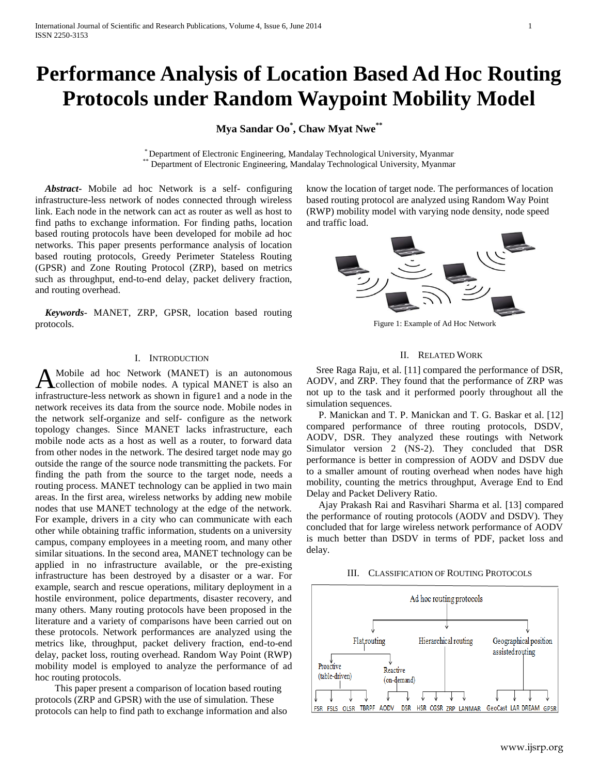# **Performance Analysis of Location Based Ad Hoc Routing Protocols under Random Waypoint Mobility Model**

**Mya Sandar Oo\* , Chaw Myat Nwe\*\***

\* Department of Electronic Engineering, Mandalay Technological University, Myanmar Department of Electronic Engineering, Mandalay Technological University, Myanmar

 *Abstract***-** Mobile ad hoc Network is a self- configuring infrastructure-less network of nodes connected through wireless link. Each node in the network can act as router as well as host to find paths to exchange information. For finding paths, location based routing protocols have been developed for mobile ad hoc networks. This paper presents performance analysis of location based routing protocols, Greedy Perimeter Stateless Routing (GPSR) and Zone Routing Protocol (ZRP), based on metrics such as throughput, end-to-end delay, packet delivery fraction, and routing overhead.

 *Keywords*- MANET, ZRP, GPSR, location based routing protocols.

### I. INTRODUCTION

Mobile ad hoc Network (MANET) is an autonomous A Mobile ad hoc Network (MANET) is an autonomous<br>
collection of mobile nodes. A typical MANET is also an infrastructure-less network as shown in figure1 and a node in the network receives its data from the source node. Mobile nodes in the network self-organize and self- configure as the network topology changes. Since MANET lacks infrastructure, each mobile node acts as a host as well as a router, to forward data from other nodes in the network. The desired target node may go outside the range of the source node transmitting the packets. For finding the path from the source to the target node, needs a routing process. MANET technology can be applied in two main areas. In the first area, wireless networks by adding new mobile nodes that use MANET technology at the edge of the network. For example, drivers in a city who can communicate with each other while obtaining traffic information, students on a university campus, company employees in a meeting room, and many other similar situations. In the second area, MANET technology can be applied in no infrastructure available, or the pre-existing infrastructure has been destroyed by a disaster or a war. For example, search and rescue operations, military deployment in a hostile environment, police departments, disaster recovery, and many others. Many routing protocols have been proposed in the literature and a variety of comparisons have been carried out on these protocols. Network performances are analyzed using the metrics like, throughput, packet delivery fraction, end-to-end delay, packet loss, routing overhead. Random Way Point (RWP) mobility model is employed to analyze the performance of ad hoc routing protocols.

 This paper present a comparison of location based routing protocols (ZRP and GPSR) with the use of simulation. These protocols can help to find path to exchange information and also know the location of target node. The performances of location based routing protocol are analyzed using Random Way Point (RWP) mobility model with varying node density, node speed and traffic load.



Figure 1: Example of Ad Hoc Network

### II. RELATED WORK

 Sree Raga Raju, et al. [11] compared the performance of DSR, AODV, and ZRP. They found that the performance of ZRP was not up to the task and it performed poorly throughout all the simulation sequences.

 P. Manickan and T. P. Manickan and T. G. Baskar et al. [12] compared performance of three routing protocols, DSDV, AODV, DSR. They analyzed these routings with Network Simulator version 2 (NS-2). They concluded that DSR performance is better in compression of AODV and DSDV due to a smaller amount of routing overhead when nodes have high mobility, counting the metrics throughput, Average End to End Delay and Packet Delivery Ratio.

 Ajay Prakash Rai and Rasvihari Sharma et al. [13] compared the performance of routing protocols (AODV and DSDV). They concluded that for large wireless network performance of AODV is much better than DSDV in terms of PDF, packet loss and delay.

### III. CLASSIFICATION OF ROUTING PROTOCOLS

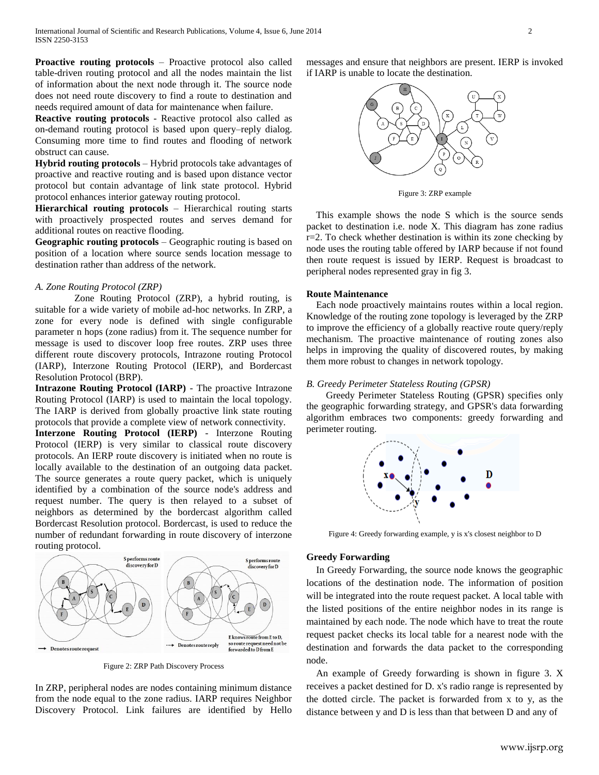**Proactive routing protocols** – Proactive protocol also called table-driven routing protocol and all the nodes maintain the list of information about the next node through it. The source node does not need route discovery to find a route to destination and needs required amount of data for maintenance when failure.

**Reactive routing protocols** - Reactive protocol also called as on-demand routing protocol is based upon query–reply dialog. Consuming more time to find routes and flooding of network obstruct can cause.

**Hybrid routing protocols** – Hybrid protocols take advantages of proactive and reactive routing and is based upon distance vector protocol but contain advantage of link state protocol. Hybrid protocol enhances interior gateway routing protocol.

**Hierarchical routing protocols** – Hierarchical routing starts with proactively prospected routes and serves demand for additional routes on reactive flooding.

**Geographic routing protocols** – Geographic routing is based on position of a location where source sends location message to destination rather than address of the network.

## *A. Zone Routing Protocol (ZRP)*

 Zone Routing Protocol (ZRP), a hybrid routing, is suitable for a wide variety of mobile ad-hoc networks. In ZRP, a zone for every node is defined with single configurable parameter n hops (zone radius) from it. The sequence number for message is used to discover loop free routes. ZRP uses three different route discovery protocols, Intrazone routing Protocol (IARP), Interzone Routing Protocol (IERP), and Bordercast Resolution Protocol (BRP).

**Intrazone Routing Protocol (IARP)** - The proactive Intrazone Routing Protocol (IARP) is used to maintain the local topology. The IARP is derived from globally proactive link state routing protocols that provide a complete view of network connectivity.

**Interzone Routing Protocol (IERP)** - Interzone Routing Protocol (IERP) is very similar to classical route discovery protocols. An IERP route discovery is initiated when no route is locally available to the destination of an outgoing data packet. The source generates a route query packet, which is uniquely identified by a combination of the source node's address and request number. The query is then relayed to a subset of neighbors as determined by the bordercast algorithm called Bordercast Resolution protocol. Bordercast, is used to reduce the number of redundant forwarding in route discovery of interzone routing protocol.



Figure 2: ZRP Path Discovery Process

In ZRP, peripheral nodes are nodes containing minimum distance from the node equal to the zone radius. IARP requires Neighbor Discovery Protocol. Link failures are identified by Hello messages and ensure that neighbors are present. IERP is invoked if IARP is unable to locate the destination.



Figure 3: ZRP example

 This example shows the node S which is the source sends packet to destination i.e. node X. This diagram has zone radius  $r=2$ . To check whether destination is within its zone checking by node uses the routing table offered by IARP because if not found then route request is issued by IERP. Request is broadcast to peripheral nodes represented gray in fig 3.

#### **Route Maintenance**

 Each node proactively maintains routes within a local region. Knowledge of the routing zone topology is leveraged by the ZRP to improve the efficiency of a globally reactive route query/reply mechanism. The proactive maintenance of routing zones also helps in improving the quality of discovered routes, by making them more robust to changes in network topology.

## *B. Greedy Perimeter Stateless Routing (GPSR)*

 Greedy Perimeter Stateless Routing (GPSR) specifies only the geographic forwarding strategy, and GPSR's data forwarding algorithm embraces two components: greedy forwarding and perimeter routing.



Figure 4: Greedy forwarding example, y is x's closest neighbor to D

#### **Greedy Forwarding**

 In Greedy Forwarding, the source node knows the geographic locations of the destination node. The information of position will be integrated into the route request packet. A local table with the listed positions of the entire neighbor nodes in its range is maintained by each node. The node which have to treat the route request packet checks its local table for a nearest node with the destination and forwards the data packet to the corresponding node.

 An example of Greedy forwarding is shown in figure 3. X receives a packet destined for D. x's radio range is represented by the dotted circle. The packet is forwarded from x to y, as the distance between y and D is less than that between D and any of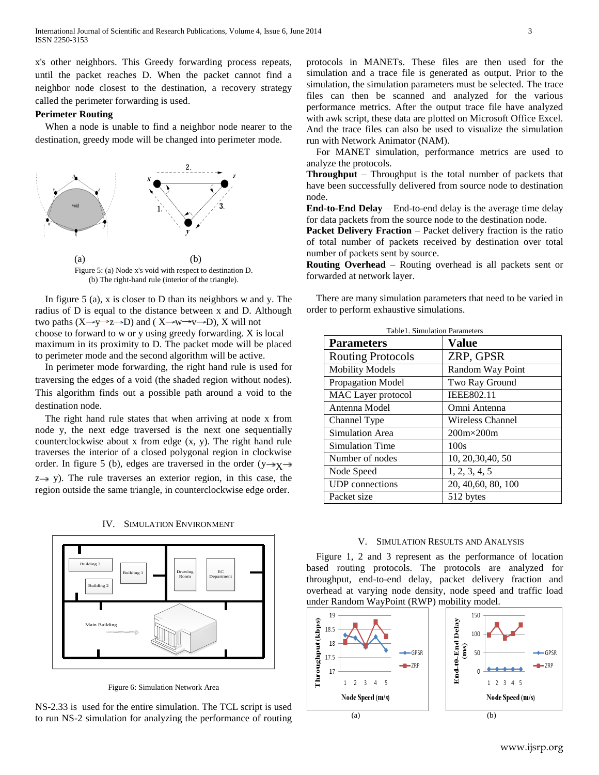x's other neighbors. This Greedy forwarding process repeats, until the packet reaches D. When the packet cannot find a neighbor node closest to the destination, a recovery strategy called the perimeter forwarding is used.

# **Perimeter Routing**

 When a node is unable to find a neighbor node nearer to the destination, greedy mode will be changed into perimeter mode.



 In figure 5 (a), x is closer to D than its neighbors w and y. The radius of D is equal to the distance between x and D. Although two paths  $(X \rightarrow y \rightarrow Z \rightarrow D)$  and  $(X \rightarrow w \rightarrow v \rightarrow D)$ , X will not choose to forward to w or y using greedy forwarding. X is local maximum in its proximity to D. The packet mode will be placed to perimeter mode and the second algorithm will be active.

 In perimeter mode forwarding, the right hand rule is used for traversing the edges of a void (the shaded region without nodes). This algorithm finds out a possible path around a void to the destination node.

 The right hand rule states that when arriving at node x from node y, the next edge traversed is the next one sequentially counterclockwise about x from edge (x, y). The right hand rule traverses the interior of a closed polygonal region in clockwise order. In figure 5 (b), edges are traversed in the order ( $y \rightarrow y \rightarrow$  $z \rightarrow y$ ). The rule traverses an exterior region, in this case, the region outside the same triangle, in counterclockwise edge order.

IV. SIMULATION ENVIRONMENT



Figure 6: Simulation Network Area

NS-2.33 is used for the entire simulation. The TCL script is used to run NS-2 simulation for analyzing the performance of routing protocols in MANETs. These files are then used for the simulation and a trace file is generated as output. Prior to the simulation, the simulation parameters must be selected. The trace files can then be scanned and analyzed for the various performance metrics. After the output trace file have analyzed with awk script, these data are plotted on Microsoft Office Excel. And the trace files can also be used to visualize the simulation run with Network Animator (NAM).

 For MANET simulation, performance metrics are used to analyze the protocols.

**Throughput** – Throughput is the total number of packets that have been successfully delivered from source node to destination node.

**End-to-End Delay** – End-to-end delay is the average time delay for data packets from the source node to the destination node.

**Packet Delivery Fraction** – Packet delivery fraction is the ratio of total number of packets received by destination over total number of packets sent by source.

**Routing Overhead** – Routing overhead is all packets sent or forwarded at network layer.

 There are many simulation parameters that need to be varied in order to perform exhaustive simulations.

| Table1. Simulation Parameters |                     |
|-------------------------------|---------------------|
| <b>Parameters</b>             | Value               |
| <b>Routing Protocols</b>      | ZRP, GPSR           |
| <b>Mobility Models</b>        | Random Way Point    |
| Propagation Model             | Two Ray Ground      |
| MAC Layer protocol            | <b>IEEE802.11</b>   |
| Antenna Model                 | Omni Antenna        |
| Channel Type                  | Wireless Channel    |
| Simulation Area               | $200m \times 200m$  |
| Simulation Time               | 100s                |
| Number of nodes               | 10, 20, 30, 40, 50  |
| Node Speed                    | 1, 2, 3, 4, 5       |
| <b>UDP</b> connections        | 20, 40, 60, 80, 100 |
| Packet size                   | 512 bytes           |

#### V. SIMULATION RESULTS AND ANALYSIS

 Figure 1, 2 and 3 represent as the performance of location based routing protocols. The protocols are analyzed for throughput, end-to-end delay, packet delivery fraction and overhead at varying node density, node speed and traffic load under Random WayPoint (RWP) mobility model.

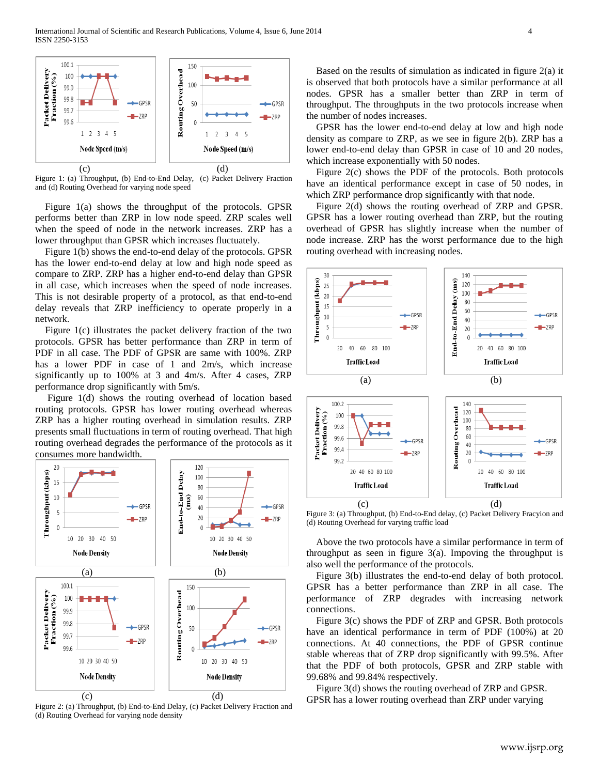

Figure 1: (a) Throughput, (b) End-to-End Delay, (c) Packet Delivery Fraction and (d) Routing Overhead for varying node speed

 Figure 1(a) shows the throughput of the protocols. GPSR performs better than ZRP in low node speed. ZRP scales well when the speed of node in the network increases. ZRP has a lower throughput than GPSR which increases fluctuately.

 Figure 1(b) shows the end-to-end delay of the protocols. GPSR has the lower end-to-end delay at low and high node speed as compare to ZRP. ZRP has a higher end-to-end delay than GPSR in all case, which increases when the speed of node increases. This is not desirable property of a protocol, as that end-to-end delay reveals that ZRP inefficiency to operate properly in a network.

 Figure 1(c) illustrates the packet delivery fraction of the two protocols. GPSR has better performance than ZRP in term of PDF in all case. The PDF of GPSR are same with 100%. ZRP has a lower PDF in case of 1 and 2m/s, which increase significantly up to 100% at 3 and 4m/s. After 4 cases, ZRP performance drop significantly with 5m/s.

 Figure 1(d) shows the routing overhead of location based routing protocols. GPSR has lower routing overhead whereas ZRP has a higher routing overhead in simulation results. ZRP presents small fluctuations in term of routing overhead. That high routing overhead degrades the performance of the protocols as it consumes more bandwidth.



Figure 2: (a) Throughput, (b) End-to-End Delay, (c) Packet Delivery Fraction and (d) Routing Overhead for varying node density

 Based on the results of simulation as indicated in figure 2(a) it is observed that both protocols have a similar performance at all nodes. GPSR has a smaller better than ZRP in term of throughput. The throughputs in the two protocols increase when the number of nodes increases.

 GPSR has the lower end-to-end delay at low and high node density as compare to ZRP, as we see in figure 2(b). ZRP has a lower end-to-end delay than GPSR in case of 10 and 20 nodes, which increase exponentially with 50 nodes.

 Figure 2(c) shows the PDF of the protocols. Both protocols have an identical performance except in case of 50 nodes, in which ZRP performance drop significantly with that node.

 Figure 2(d) shows the routing overhead of ZRP and GPSR. GPSR has a lower routing overhead than ZRP, but the routing overhead of GPSR has slightly increase when the number of node increase. ZRP has the worst performance due to the high routing overhead with increasing nodes.



Figure 3: (a) Throughput, (b) End-to-End delay, (c) Packet Delivery Fracyion and (d) Routing Overhead for varying traffic load

 Above the two protocols have a similar performance in term of throughput as seen in figure 3(a). Impoving the throughput is also well the performance of the protocols.

 Figure 3(b) illustrates the end-to-end delay of both protocol. GPSR has a better performance than ZRP in all case. The performance of ZRP degrades with increasing network connections.

 Figure 3(c) shows the PDF of ZRP and GPSR. Both protocols have an identical performance in term of PDF (100%) at 20 connections. At 40 connections, the PDF of GPSR continue stable whereas that of ZRP drop significantly with 99.5%. After that the PDF of both protocols, GPSR and ZRP stable with 99.68% and 99.84% respectively.

 Figure 3(d) shows the routing overhead of ZRP and GPSR. GPSR has a lower routing overhead than ZRP under varying